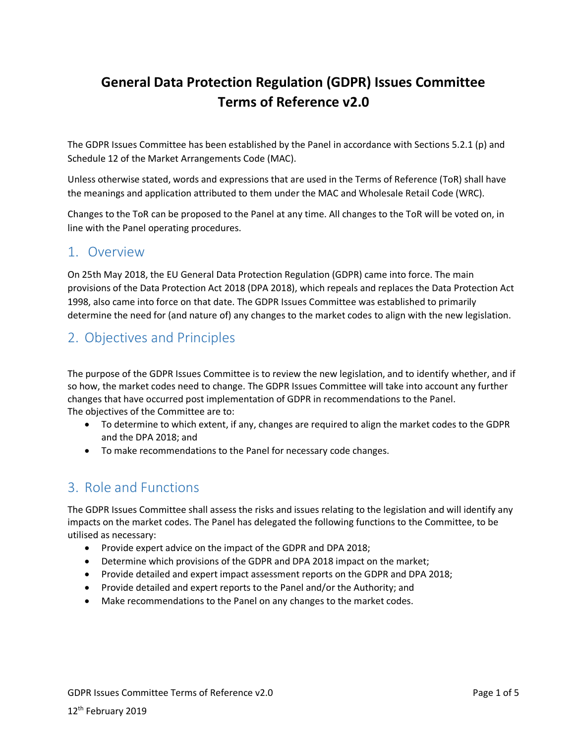# **General Data Protection Regulation (GDPR) Issues Committee Terms of Reference v2.0**

The GDPR Issues Committee has been established by the Panel in accordance with Sections 5.2.1 (p) and Schedule 12 of the Market Arrangements Code (MAC).

Unless otherwise stated, words and expressions that are used in the Terms of Reference (ToR) shall have the meanings and application attributed to them under the MAC and Wholesale Retail Code (WRC).

Changes to the ToR can be proposed to the Panel at any time. All changes to the ToR will be voted on, in line with the Panel operating procedures.

### 1. Overview

On 25th May 2018, the EU General Data Protection Regulation (GDPR) came into force. The main provisions of the Data Protection Act 2018 (DPA 2018), which repeals and replaces the Data Protection Act 1998, also came into force on that date. The GDPR Issues Committee was established to primarily determine the need for (and nature of) any changes to the market codes to align with the new legislation.

# 2. Objectives and Principles

The purpose of the GDPR Issues Committee is to review the new legislation, and to identify whether, and if so how, the market codes need to change. The GDPR Issues Committee will take into account any further changes that have occurred post implementation of GDPR in recommendations to the Panel. The objectives of the Committee are to:

- To determine to which extent, if any, changes are required to align the market codes to the GDPR and the DPA 2018; and
- To make recommendations to the Panel for necessary code changes.

# 3. Role and Functions

The GDPR Issues Committee shall assess the risks and issues relating to the legislation and will identify any impacts on the market codes. The Panel has delegated the following functions to the Committee, to be utilised as necessary:

- Provide expert advice on the impact of the GDPR and DPA 2018;
- Determine which provisions of the GDPR and DPA 2018 impact on the market;
- Provide detailed and expert impact assessment reports on the GDPR and DPA 2018;
- Provide detailed and expert reports to the Panel and/or the Authority; and
- Make recommendations to the Panel on any changes to the market codes.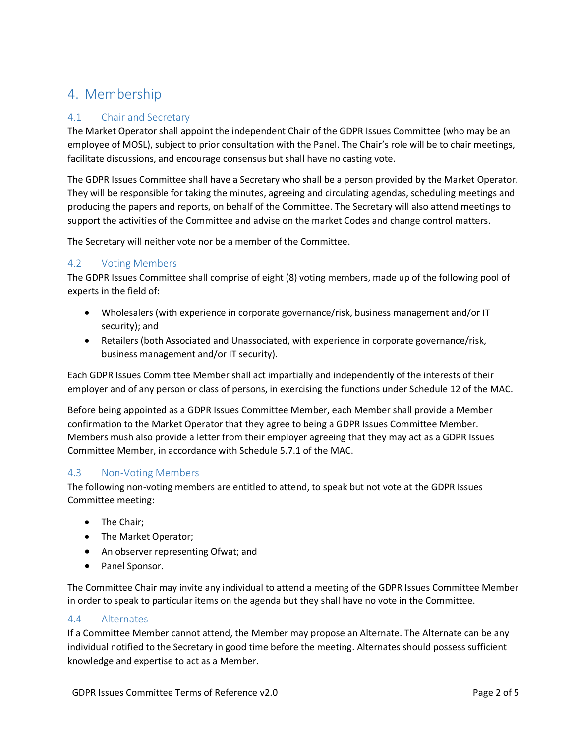# 4. Membership

### 4.1 Chair and Secretary

The Market Operator shall appoint the independent Chair of the GDPR Issues Committee (who may be an employee of MOSL), subject to prior consultation with the Panel. The Chair's role will be to chair meetings, facilitate discussions, and encourage consensus but shall have no casting vote.

The GDPR Issues Committee shall have a Secretary who shall be a person provided by the Market Operator. They will be responsible for taking the minutes, agreeing and circulating agendas, scheduling meetings and producing the papers and reports, on behalf of the Committee. The Secretary will also attend meetings to support the activities of the Committee and advise on the market Codes and change control matters.

The Secretary will neither vote nor be a member of the Committee.

#### 4.2 Voting Members

The GDPR Issues Committee shall comprise of eight (8) voting members, made up of the following pool of experts in the field of:

- Wholesalers (with experience in corporate governance/risk, business management and/or IT security); and
- Retailers (both Associated and Unassociated, with experience in corporate governance/risk, business management and/or IT security).

Each GDPR Issues Committee Member shall act impartially and independently of the interests of their employer and of any person or class of persons, in exercising the functions under Schedule 12 of the MAC.

Before being appointed as a GDPR Issues Committee Member, each Member shall provide a Member confirmation to the Market Operator that they agree to being a GDPR Issues Committee Member. Members mush also provide a letter from their employer agreeing that they may act as a GDPR Issues Committee Member, in accordance with Schedule 5.7.1 of the MAC.

#### 4.3 Non-Voting Members

The following non-voting members are entitled to attend, to speak but not vote at the GDPR Issues Committee meeting:

- The Chair;
- The Market Operator;
- An observer representing Ofwat; and
- Panel Sponsor.

The Committee Chair may invite any individual to attend a meeting of the GDPR Issues Committee Member in order to speak to particular items on the agenda but they shall have no vote in the Committee.

#### 4.4 Alternates

If a Committee Member cannot attend, the Member may propose an Alternate. The Alternate can be any individual notified to the Secretary in good time before the meeting. Alternates should possess sufficient knowledge and expertise to act as a Member.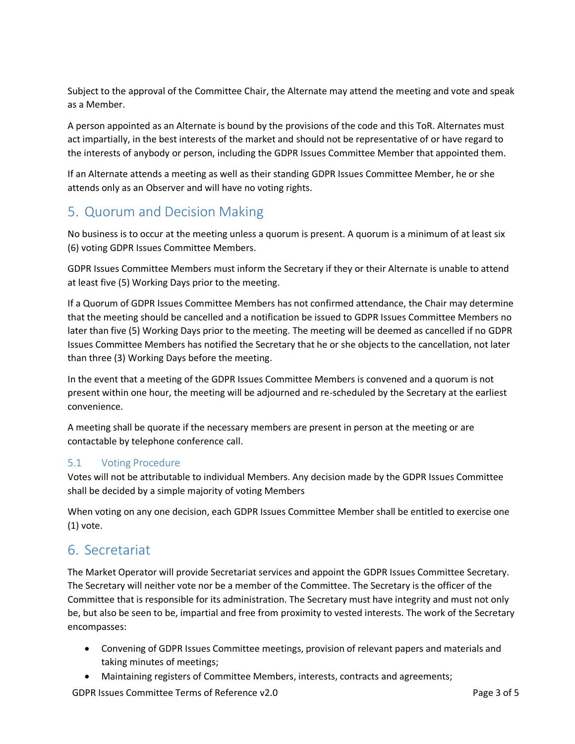Subject to the approval of the Committee Chair, the Alternate may attend the meeting and vote and speak as a Member.

A person appointed as an Alternate is bound by the provisions of the code and this ToR. Alternates must act impartially, in the best interests of the market and should not be representative of or have regard to the interests of anybody or person, including the GDPR Issues Committee Member that appointed them.

If an Alternate attends a meeting as well as their standing GDPR Issues Committee Member, he or she attends only as an Observer and will have no voting rights.

# 5. Quorum and Decision Making

No business is to occur at the meeting unless a quorum is present. A quorum is a minimum of at least six (6) voting GDPR Issues Committee Members.

GDPR Issues Committee Members must inform the Secretary if they or their Alternate is unable to attend at least five (5) Working Days prior to the meeting.

If a Quorum of GDPR Issues Committee Members has not confirmed attendance, the Chair may determine that the meeting should be cancelled and a notification be issued to GDPR Issues Committee Members no later than five (5) Working Days prior to the meeting. The meeting will be deemed as cancelled if no GDPR Issues Committee Members has notified the Secretary that he or she objects to the cancellation, not later than three (3) Working Days before the meeting.

In the event that a meeting of the GDPR Issues Committee Members is convened and a quorum is not present within one hour, the meeting will be adjourned and re-scheduled by the Secretary at the earliest convenience.

A meeting shall be quorate if the necessary members are present in person at the meeting or are contactable by telephone conference call.

### 5.1 Voting Procedure

Votes will not be attributable to individual Members. Any decision made by the GDPR Issues Committee shall be decided by a simple majority of voting Members

When voting on any one decision, each GDPR Issues Committee Member shall be entitled to exercise one (1) vote.

## 6. Secretariat

The Market Operator will provide Secretariat services and appoint the GDPR Issues Committee Secretary. The Secretary will neither vote nor be a member of the Committee. The Secretary is the officer of the Committee that is responsible for its administration. The Secretary must have integrity and must not only be, but also be seen to be, impartial and free from proximity to vested interests. The work of the Secretary encompasses:

- Convening of GDPR Issues Committee meetings, provision of relevant papers and materials and taking minutes of meetings;
- Maintaining registers of Committee Members, interests, contracts and agreements;

GDPR Issues Committee Terms of Reference v2.0 example 2 and 5 and 7 and 7 and 7 and 7 and 7 and 7 and 7 and 7 and 7 and 7 and 7 and 7 and 7 and 7 and 7 and 7 and 7 and 7 and 7 and 7 and 7 and 7 and 7 and 7 and 7 and 7 and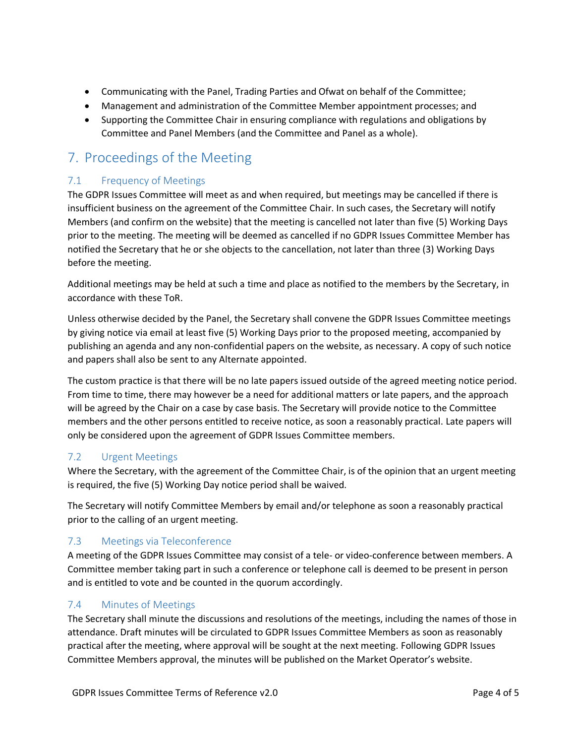- Communicating with the Panel, Trading Parties and Ofwat on behalf of the Committee;
- Management and administration of the Committee Member appointment processes; and
- Supporting the Committee Chair in ensuring compliance with regulations and obligations by Committee and Panel Members (and the Committee and Panel as a whole).

# 7. Proceedings of the Meeting

### 7.1 Frequency of Meetings

The GDPR Issues Committee will meet as and when required, but meetings may be cancelled if there is insufficient business on the agreement of the Committee Chair. In such cases, the Secretary will notify Members (and confirm on the website) that the meeting is cancelled not later than five (5) Working Days prior to the meeting. The meeting will be deemed as cancelled if no GDPR Issues Committee Member has notified the Secretary that he or she objects to the cancellation, not later than three (3) Working Days before the meeting.

Additional meetings may be held at such a time and place as notified to the members by the Secretary, in accordance with these ToR.

Unless otherwise decided by the Panel, the Secretary shall convene the GDPR Issues Committee meetings by giving notice via email at least five (5) Working Days prior to the proposed meeting, accompanied by publishing an agenda and any non-confidential papers on the website, as necessary. A copy of such notice and papers shall also be sent to any Alternate appointed.

The custom practice is that there will be no late papers issued outside of the agreed meeting notice period. From time to time, there may however be a need for additional matters or late papers, and the approach will be agreed by the Chair on a case by case basis. The Secretary will provide notice to the Committee members and the other persons entitled to receive notice, as soon a reasonably practical. Late papers will only be considered upon the agreement of GDPR Issues Committee members.

### 7.2 Urgent Meetings

Where the Secretary, with the agreement of the Committee Chair, is of the opinion that an urgent meeting is required, the five (5) Working Day notice period shall be waived.

The Secretary will notify Committee Members by email and/or telephone as soon a reasonably practical prior to the calling of an urgent meeting.

### 7.3 Meetings via Teleconference

A meeting of the GDPR Issues Committee may consist of a tele- or video-conference between members. A Committee member taking part in such a conference or telephone call is deemed to be present in person and is entitled to vote and be counted in the quorum accordingly.

### 7.4 Minutes of Meetings

The Secretary shall minute the discussions and resolutions of the meetings, including the names of those in attendance. Draft minutes will be circulated to GDPR Issues Committee Members as soon as reasonably practical after the meeting, where approval will be sought at the next meeting. Following GDPR Issues Committee Members approval, the minutes will be published on the Market Operator's website.